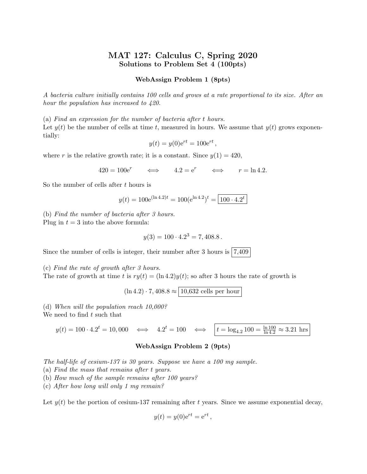# MAT 127: Calculus C, Spring 2020 Solutions to Problem Set 4 (100pts)

# WebAssign Problem 1 (8pts)

A bacteria culture initially contains 100 cells and grows at a rate proportional to its size. After an hour the population has increased to 420.

(a) Find an expression for the number of bacteria after t hours. Let  $y(t)$  be the number of cells at time t, measured in hours. We assume that  $y(t)$  grows exponentially:

$$
y(t) = y(0)e^{rt} = 100e^{rt},
$$

where r is the relative growth rate; it is a constant. Since  $y(1) = 420$ ,

 $420 = 100e^r$   $\iff$   $4.2 = e^r$   $\iff$   $r = \ln 4.2$ .

So the number of cells after  $t$  hours is

$$
y(t) = 100e^{(\ln 4.2)t} = 100(e^{\ln 4.2})^t = 100 \cdot 4.2^t
$$

(b) Find the number of bacteria after 3 hours. Plug in  $t = 3$  into the above formula:

$$
y(3) = 100 \cdot 4.2^3 = 7,408.8.
$$

Since the number of cells is integer, their number after 3 hours is  $|7,409\rangle$ 

(c) Find the rate of growth after 3 hours.

The rate of growth at time t is  $ry(t) = (\ln 4.2)y(t)$ ; so after 3 hours the rate of growth is

 $(\ln 4.2)\cdot 7,408.8\approx$   $\boxed{10{,}632$  cells per hour

(d) When will the population reach 10,000?

We need to find  $t$  such that

 $y(t) = 100 \cdot 4.2^t = 10{,}000 \iff 4.2$  $t = 100 \iff \left| t = \log_{4.2} 100 = \frac{\ln 100}{\ln 4.2} \approx 3.21 \text{ hrs} \right|$ 

# WebAssign Problem 2 (9pts)

The half-life of cesium-137 is 30 years. Suppose we have a 100 mg sample.

(a) Find the mass that remains after t years.

- (b) How much of the sample remains after 100 years?
- (c) After how long will only 1 mg remain?

Let  $y(t)$  be the portion of cesium-137 remaining after t years. Since we assume exponential decay,

$$
y(t) = y(0)e^{rt} = e^{rt},
$$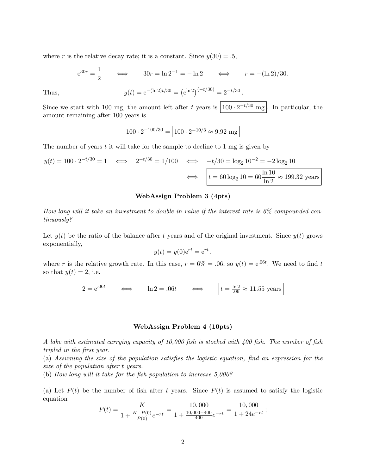where r is the relative decay rate; it is a constant. Since  $y(30) = .5$ ,

$$
e^{30r} = \frac{1}{2}
$$
  $\iff$   $30r = \ln 2^{-1} = -\ln 2$   $\iff$   $r = -(\ln 2)/30$ .  
Thus,  $y(t) = e^{-(\ln 2)t/30} = (e^{\ln 2})^{(-t/30)} = 2^{-t/30}$ .

Since we start with 100 mg, the amount left after t years is  $\left| 100 \cdot 2^{-t/30} \text{ mg} \right|$ . In particular, the amount remaining after 100 years is

$$
100 \cdot 2^{-100/30} = \boxed{100 \cdot 2^{-10/3} \approx 9.92 \text{ mg}}
$$

The number of years  $t$  it will take for the sample to decline to 1 mg is given by

$$
y(t) = 100 \cdot 2^{-t/30} = 1 \iff 2^{-t/30} = 1/100 \iff -t/30 = \log_2 10^{-2} = -2\log_2 10
$$

$$
\iff \boxed{t = 60\log_2 10 = 60 \frac{\ln 10}{\ln 2} \approx 199.32 \text{ years}}
$$

# WebAssign Problem 3 (4pts)

How long will it take an investment to double in value if the interest rate is 6% compounded continuously?

Let  $y(t)$  be the ratio of the balance after t years and of the original investment. Since  $y(t)$  grows exponentially,

$$
y(t) = y(0)e^{rt} = e^{rt},
$$

where r is the relative growth rate. In this case,  $r = 6\% = .06$ , so  $y(t) = e^{.06t}$ . We need to find t so that  $y(t) = 2$ , i.e.

$$
2 = e^{.06t} \qquad \Longleftrightarrow \qquad \ln 2 = .06t \qquad \Longleftrightarrow \qquad t = \frac{\ln 2}{.06} \approx 11.55 \text{ years}
$$

#### WebAssign Problem 4 (10pts)

A lake with estimated carrying capacity of 10,000 fish is stocked with 400 fish. The number of fish tripled in the first year.

(a) Assuming the size of the population satisfies the logistic equation, find an expression for the size of the population after t years.

(b) How long will it take for the fish population to increase 5,000?

(a) Let  $P(t)$  be the number of fish after t years. Since  $P(t)$  is assumed to satisfy the logistic equation

$$
P(t) = \frac{K}{1 + \frac{K - P(0)}{P(0)}e^{-rt}} = \frac{10,000}{1 + \frac{10,000 - 400}{400}e^{-rt}} = \frac{10,000}{1 + 24e^{-rt}};
$$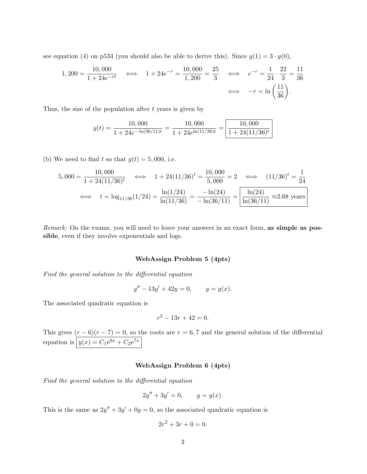see equation (4) on p534 (you should also be able to derive this). Since  $y(1) = 3 \cdot y(0)$ ,

$$
1,200 = \frac{10,000}{1 + 24e^{-rt}} \iff 1 + 24e^{-r} = \frac{10,000}{1,200} = \frac{25}{3} \iff e^{-r} = \frac{1}{24} \cdot \frac{22}{3} = \frac{11}{36}
$$

$$
\iff -r = \ln\left(\frac{11}{36}\right).
$$

Thus, the size of the population after  $t$  years is given by

$$
y(t) = \frac{10,000}{1 + 24e^{-\ln(36/11)t}} = \frac{10,000}{1 + 24e^{\ln(11/36)t}} = \frac{10,000}{1 + 24(11/36)^t}
$$

(b) We need to find t so that  $y(t) = 5,000$ , i.e.

$$
5,000 = \frac{10,000}{1 + 24(11/36)^t} \quad \Longleftrightarrow \quad 1 + 24(11/36)^t = \frac{10,000}{5,000} = 2 \quad \Longleftrightarrow \quad (11/36)^t = \frac{1}{24}
$$
\n
$$
\Longleftrightarrow \quad t = \log_{11/36}(1/24) = \frac{\ln(1/24)}{\ln(11/36)} = \frac{-\ln(24)}{-\ln(36/11)} = \boxed{\frac{\ln(24)}{\ln(36/11)}} \approx 2.68 \text{ years}
$$

Remark: On the exams, you will need to leave your answers in an exact form, as simple as possible, even if they involve exponentials and logs.

#### WebAssign Problem 5 (4pts)

Find the general solution to the differential equation

$$
y'' - 13y' + 42y = 0, \qquad y = y(x).
$$

The associated quadratic equation is

$$
r^2 - 13r + 42 = 0.
$$

This gives  $(r-6)(r-7) = 0$ , so the roots are  $r = 6, 7$  and the general solution of the differential equation is  $y(x) = C_1 e^{6x} + C_2 e^{7x}$ 

### WebAssign Problem 6 (4pts)

Find the general solution to the differential equation

$$
2y'' + 3y' = 0, \t y = y(x).
$$

This is the same as  $2y'' + 3y' + 0y = 0$ , so the associated quadratic equation is

$$
2r^2 + 3r + 0 = 0.
$$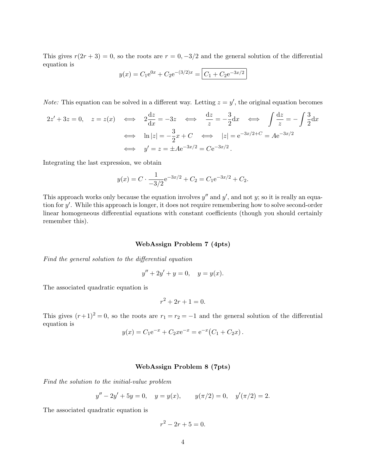This gives  $r(2r + 3) = 0$ , so the roots are  $r = 0, -3/2$  and the general solution of the differential equation is

$$
y(x) = C_1 e^{0x} + C_2 e^{-(3/2)x} = \boxed{C_1 + C_2 e^{-3x/2}}
$$

*Note:* This equation can be solved in a different way. Letting  $z = y'$ , the original equation becomes

$$
2z' + 3z = 0, \quad z = z(x) \iff 2\frac{dz}{dx} = -3z \iff \frac{dz}{z} = -\frac{3}{2}dx \iff \int \frac{dz}{z} = -\int \frac{3}{2}dx
$$

$$
\iff \ln|z| = -\frac{3}{2}x + C \iff |z| = e^{-3x/2 + C} = Ae^{-3x/2}
$$

$$
\iff y' = z = \pm Ae^{-3x/2} = Ce^{-3x/2}.
$$

Integrating the last expression, we obtain

$$
y(x) = C \cdot \frac{1}{-3/2} e^{-3x/2} + C_2 = C_1 e^{-3x/2} + C_2.
$$

This approach works only because the equation involves  $y''$  and  $y'$ , and not y; so it is really an equation for y'. While this approach is longer, it does not require remembering how to solve second-order linear homogeneous differential equations with constant coefficients (though you should certainly remember this).

#### WebAssign Problem 7 (4pts)

Find the general solution to the differential equation

$$
y'' + 2y' + y = 0, \quad y = y(x).
$$

The associated quadratic equation is

$$
r^2 + 2r + 1 = 0.
$$

This gives  $(r+1)^2 = 0$ , so the roots are  $r_1 = r_2 = -1$  and the general solution of the differential equation is

$$
y(x) = C_1 e^{-x} + C_2 x e^{-x} = e^{-x} (C_1 + C_2 x).
$$

### WebAssign Problem 8 (7pts)

Find the solution to the initial-value problem

$$
y'' - 2y' + 5y = 0, \quad y = y(x), \qquad y(\pi/2) = 0, \quad y'(\pi/2) = 2.
$$

The associated quadratic equation is

$$
r^2 - 2r + 5 = 0.
$$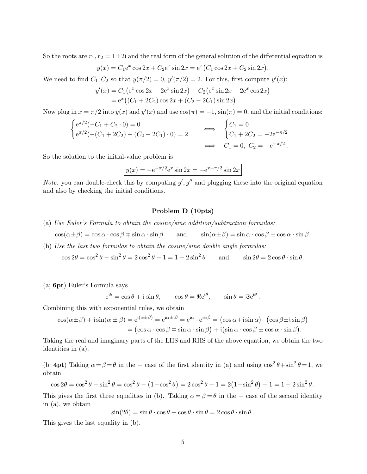So the roots are  $r_1, r_2 = 1 \pm 2i$  and the real form of the general solution of the differential equation is

$$
y(x) = C_1 e^x \cos 2x + C_2 e^x \sin 2x = e^x (C_1 \cos 2x + C_2 \sin 2x).
$$

We need to find  $C_1, C_2$  so that  $y(\pi/2) = 0, y'(\pi/2) = 2$ . For this, first compute  $y'(x)$ :

$$
y'(x) = C_1 (e^x \cos 2x - 2e^x \sin 2x) + C_2 (e^x \sin 2x + 2e^x \cos 2x)
$$
  
=  $e^x ((C_1 + 2C_2) \cos 2x + (C_2 - 2C_1) \sin 2x).$ 

Now plug in  $x = \pi/2$  into  $y(x)$  and  $y'(x)$  and use  $\cos(\pi) = -1$ ,  $\sin(\pi) = 0$ , and the initial conditions:

$$
\begin{cases} e^{\pi/2}(-C_1 + C_2 \cdot 0) = 0 \\ e^{\pi/2}(-(C_1 + 2C_2) + (C_2 - 2C_1) \cdot 0) = 2 \end{cases} \Longleftrightarrow \begin{cases} C_1 = 0 \\ C_1 + 2C_2 = -2e^{-\pi/2} \\ C_1 = 0, C_2 = -e^{-\pi/2} \end{cases}
$$

So the solution to the initial-value problem is

$$
y(x) = -e^{-\pi/2}e^x \sin 2x = -e^{x-\pi/2} \sin 2x
$$

*Note:* you can double-check this by computing  $y', y''$  and plugging these into the original equation and also by checking the initial conditions.

# Problem D (10pts)

- (a) Use Euler's Formula to obtain the cosine/sine addition/subtraction formulas:  $\cos(\alpha \pm \beta) = \cos \alpha \cdot \cos \beta \mp \sin \alpha \cdot \sin \beta$  and  $\sin(\alpha \pm \beta) = \sin \alpha \cdot \cos \beta \pm \cos \alpha \cdot \sin \beta$ .
- (b) Use the last two formulas to obtain the cosine/sine double angle formulas:  $\cos 2\theta = \cos^2 \theta - \sin^2 \theta = 2 \cos^2 \theta - 1 = 1 - 2 \sin^2 \theta$ and  $\sin 2\theta = 2\cos \theta \cdot \sin \theta$ .

(a; 6pt) Euler's Formula says

$$
e^{i\theta} = \cos \theta + i \sin \theta
$$
,  $\cos \theta = \Re e^{i\theta}$ ,  $\sin \theta = \Im e^{i\theta}$ .

Combining this with exponential rules, we obtain

$$
\cos(\alpha \pm \beta) + i \sin(\alpha \pm \beta) = e^{i(\alpha \pm \beta)} = e^{i\alpha \pm i\beta} = e^{i\alpha} \cdot e^{\pm i\beta} = (\cos \alpha + i \sin \alpha) \cdot (\cos \beta \pm i \sin \beta)
$$

$$
= (\cos \alpha \cdot \cos \beta \mp \sin \alpha \cdot \sin \beta) + i(\sin \alpha \cdot \cos \beta \pm \cos \alpha \cdot \sin \beta).
$$

Taking the real and imaginary parts of the LHS and RHS of the above equation, we obtain the two identities in (a).

(b; 4pt) Taking  $\alpha = \beta = \theta$  in the + case of the first identity in (a) and using  $\cos^2 \theta + \sin^2 \theta = 1$ , we obtain

$$
\cos 2\theta = \cos^2 \theta - \sin^2 \theta = \cos^2 \theta - (1 - \cos^2 \theta) = 2\cos^2 \theta - 1 = 2(1 - \sin^2 \theta) - 1 = 1 - 2\sin^2 \theta.
$$

This gives the first three equalities in (b). Taking  $\alpha = \beta = \theta$  in the + case of the second identity in (a), we obtain

$$
\sin(2\theta) = \sin\theta \cdot \cos\theta + \cos\theta \cdot \sin\theta = 2\cos\theta \cdot \sin\theta.
$$

This gives the last equality in (b).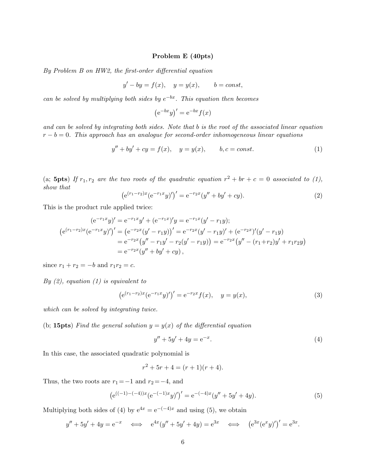# Problem E (40pts)

By Problem B on HW2, the first-order differential equation

$$
y' - by = f(x), \quad y = y(x), \qquad b = const,
$$

can be solved by multiplying both sides by  $e^{-bx}$ . This equation then becomes

 $(e^{-bx}y)' = e^{-bx}f(x)$ 

and can be solved by integrating both sides. Note that b is the root of the associated linear equation  $r - b = 0$ . This approach has an analogue for second-order inhomogeneous linear equations

$$
y'' + by' + cy = f(x), \t y = y(x), \t b, c = const.
$$
 (1)

(a; 5pts) If  $r_1, r_2$  are the two roots of the quadratic equation  $r^2 + br + c = 0$  associated to (1), show that

$$
\left(e^{(r_1 - r_2)x}(e^{-r_1x}y)'\right)' = e^{-r_2x}(y'' + by' + cy).
$$
\n(2)

This is the product rule applied twice:

$$
(e^{-r_1x}y)' = e^{-r_1x}y' + (e^{-r_1x})'y = e^{-r_1x}(y'-r_1y);
$$
  
\n
$$
(e^{(r_1-r_2)x}(e^{-r_1x}y)')' = (e^{-r_2x}(y'-r_1y))' = e^{-r_2x}(y'-r_1y)' + (e^{-r_2x})'(y'-r_1y)
$$
  
\n
$$
= e^{-r_2x}(y''-r_1y'-r_2(y'-r_1y)) = e^{-r_2x}(y''-(r_1+r_2)y'+r_1r_2y)
$$
  
\n
$$
= e^{-r_2x}(y''+by'+cy),
$$

since  $r_1 + r_2 = -b$  and  $r_1r_2 = c$ .

By  $(2)$ , equation  $(1)$  is equivalent to

$$
(e^{(r_1 - r_2)x} (e^{-r_1 x} y)')' = e^{-r_2 x} f(x), \quad y = y(x),
$$
\n(3)

which can be solved by integrating twice.

(b; 15pts) Find the general solution  $y = y(x)$  of the differential equation

$$
y'' + 5y' + 4y = e^{-x}.
$$
 (4)

In this case, the associated quadratic polynomial is

$$
r^2 + 5r + 4 = (r+1)(r+4).
$$

Thus, the two roots are  $r_1 = -1$  and  $r_2 = -4$ , and

$$
(e^{((-1)-(-4))x}(e^{-(-1)x}y)')' = e^{-(-4)x}(y'' + 5y' + 4y).
$$
\n(5)

Multiplying both sides of (4) by  $e^{4x} = e^{-(-4)x}$  and using (5), we obtain

$$
y'' + 5y' + 4y = e^{-x}
$$
  $\iff$   $e^{4x}(y'' + 5y' + 4y) = e^{3x}$   $\iff$   $(e^{3x}(e^x y)')' = e^{3x}$ .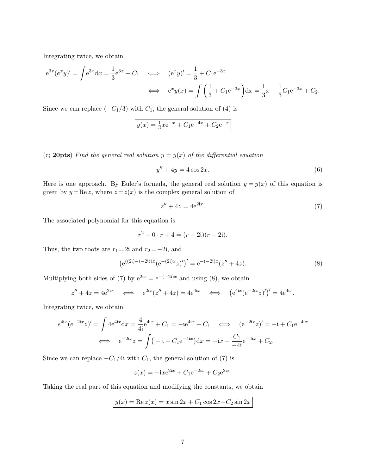Integrating twice, we obtain

$$
e^{3x}(e^xy)' = \int e^{3x} dx = \frac{1}{3}e^{3x} + C_1 \iff (e^xy)' = \frac{1}{3} + C_1e^{-3x}
$$
  
 $\iff e^x y(x) = \int \left(\frac{1}{3} + C_1e^{-3x}\right) dx = \frac{1}{3}x - \frac{1}{3}C_1e^{-3x} + C_2.$ 

Since we can replace  $(-C_1/3)$  with  $C_1$ , the general solution of (4) is

$$
y(x) = \frac{1}{3}xe^{-x} + C_1e^{-4x} + C_2e^{-x}
$$

(c; 20pts) Find the general real solution  $y = y(x)$  of the differential equation

$$
y'' + 4y = 4\cos 2x.\tag{6}
$$

Here is one approach. By Euler's formula, the general real solution  $y = y(x)$  of this equation is given by  $y = \text{Re } z$ , where  $z = z(x)$  is the complex general solution of

$$
z'' + 4z = 4e^{2ix}.\tag{7}
$$

The associated polynomial for this equation is

$$
r^2 + 0 \cdot r + 4 = (r - 2i)(r + 2i).
$$

Thus, the two roots are  $r_1 = 2i$  and  $r_2 = -2i$ , and

$$
(e^{((2i)-(-2i))x}(e^{-(2i)x}z)')' = e^{-(-2i)x}(z'' + 4z).
$$
\n(8)

Multiplying both sides of (7) by  $e^{2ix} = e^{-(-2i)x}$  and using (8), we obtain

$$
z'' + 4z = 4e^{2ix} \iff e^{2ix}(z'' + 4z) = 4e^{4ix} \iff (e^{4ix}(e^{-2ix}z)')' = 4e^{4ix}.
$$

Integrating twice, we obtain

$$
e^{4ix}(e^{-2ix}z)' = \int 4e^{4ix}dx = \frac{4}{4i}e^{4ix} + C_1 = -ie^{4ix} + C_1 \iff (e^{-2ix}z)' = -i + C_1e^{-4ix}
$$

$$
\iff e^{-2ix}z = \int (-i + C_1e^{-4ix})dx = -ix + \frac{C_1}{-4i}e^{-4ix} + C_2.
$$

Since we can replace  $-C_1/4i$  with  $C_1$ , the general solution of (7) is

$$
z(x) = -ix e^{2ix} + C_1 e^{-2ix} + C_2 e^{2ix}.
$$

Taking the real part of this equation and modifying the constants, we obtain

$$
y(x) = \text{Re } z(x) = x \sin 2x + C_1 \cos 2x + C_2 \sin 2x
$$